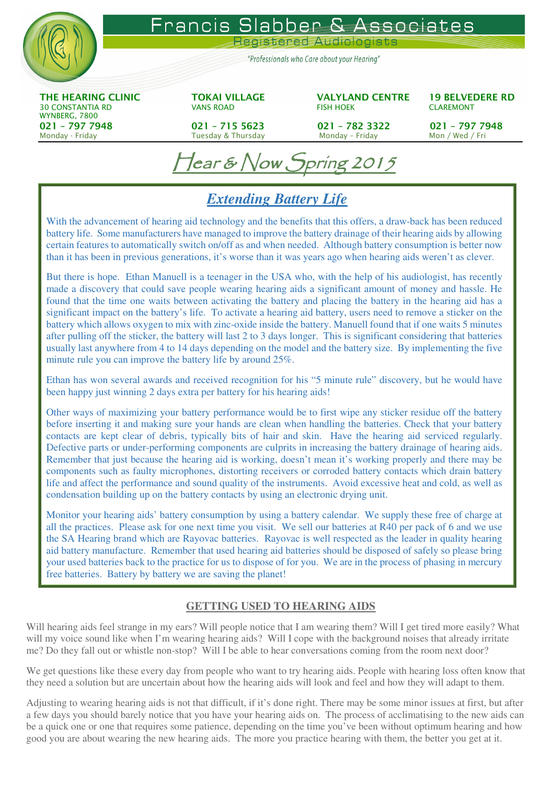

 $\ell$ ear & Now Spring 2015

## *Extending Battery Life*

With the advancement of hearing aid technology and the benefits that this offers, a draw-back has been reduced battery life. Some manufacturers have managed to improve the battery drainage of their hearing aids by allowing certain features to automatically switch on/off as and when needed. Although battery consumption is better now than it has been in previous generations, it's worse than it was years ago when hearing aids weren't as clever.

But there is hope. Ethan Manuell is a teenager in the USA who, with the help of his audiologist, has recently made a discovery that could save people wearing hearing aids a significant amount of money and hassle. He found that the time one waits between activating the battery and placing the battery in the hearing aid has a significant impact on the battery's life. To activate a hearing aid battery, users need to remove a sticker on the battery which allows oxygen to mix with zinc-oxide inside the battery. Manuell found that if one waits 5 minutes after pulling off the sticker, the battery will last 2 to 3 days longer. This is significant considering that batteries usually last anywhere from 4 to 14 days depending on the model and the battery size. By implementing the five minute rule you can improve the battery life by around 25%.

Ethan has won several awards and received recognition for his "5 minute rule" discovery, but he would have been happy just winning 2 days extra per battery for his hearing aids!

Other ways of maximizing your battery performance would be to first wipe any sticker residue off the battery before inserting it and making sure your hands are clean when handling the batteries. Check that your battery contacts are kept clear of debris, typically bits of hair and skin. Have the hearing aid serviced regularly. Defective parts or under-performing components are culprits in increasing the battery drainage of hearing aids. Remember that just because the hearing aid is working, doesn't mean it's working properly and there may be components such as faulty microphones, distorting receivers or corroded battery contacts which drain battery life and affect the performance and sound quality of the instruments. Avoid excessive heat and cold, as well as condensation building up on the battery contacts by using an electronic drying unit.

Monitor your hearing aids' battery consumption by using a battery calendar. We supply these free of charge at all the practices. Please ask for one next time you visit. We sell our batteries at R40 per pack of 6 and we use the SA Hearing brand which are Rayovac batteries. Rayovac is well respected as the leader in quality hearing aid battery manufacture. Remember that used hearing aid batteries should be disposed of safely so please bring your used batteries back to the practice for us to dispose of for you. We are in the process of phasing in mercury free batteries. Battery by battery we are saving the planet!

## **GETTING USED TO HEARING AIDS**

Will hearing aids feel strange in my ears? Will people notice that I am wearing them? Will I get tired more easily? What will my voice sound like when I'm wearing hearing aids? Will I cope with the background noises that already irritate me? Do they fall out or whistle non-stop? Will I be able to hear conversations coming from the room next door?

We get questions like these every day from people who want to try hearing aids. People with hearing loss often know that they need a solution but are uncertain about how the hearing aids will look and feel and how they will adapt to them.

Adjusting to wearing hearing aids is not that difficult, if it's done right. There may be some minor issues at first, but after a few days you should barely notice that you have your hearing aids on. The process of acclimatising to the new aids can be a quick one or one that requires some patience, depending on the time you've been without optimum hearing and how good you are about wearing the new hearing aids. The more you practice hearing with them, the better you get at it.